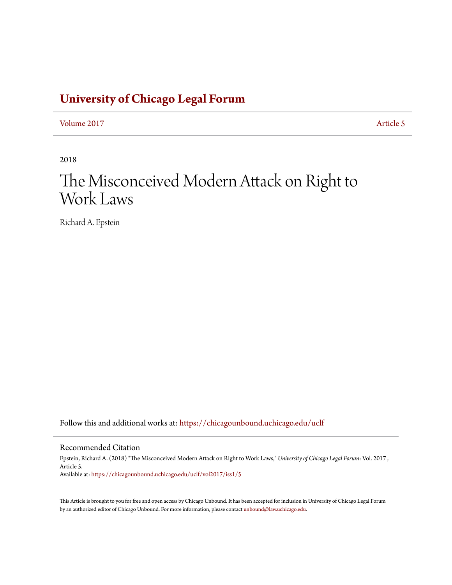# **[University of Chicago Legal Forum](https://chicagounbound.uchicago.edu/uclf?utm_source=chicagounbound.uchicago.edu%2Fuclf%2Fvol2017%2Fiss1%2F5&utm_medium=PDF&utm_campaign=PDFCoverPages)**

[Volume 2017](https://chicagounbound.uchicago.edu/uclf/vol2017?utm_source=chicagounbound.uchicago.edu%2Fuclf%2Fvol2017%2Fiss1%2F5&utm_medium=PDF&utm_campaign=PDFCoverPages) **[Article 5](https://chicagounbound.uchicago.edu/uclf/vol2017/iss1/5?utm_source=chicagounbound.uchicago.edu%2Fuclf%2Fvol2017%2Fiss1%2F5&utm_medium=PDF&utm_campaign=PDFCoverPages)** 

2018

# The Misconceived Modern Attack on Right to Work Laws

Richard A. Epstein

Follow this and additional works at: [https://chicagounbound.uchicago.edu/uclf](https://chicagounbound.uchicago.edu/uclf?utm_source=chicagounbound.uchicago.edu%2Fuclf%2Fvol2017%2Fiss1%2F5&utm_medium=PDF&utm_campaign=PDFCoverPages)

### Recommended Citation

Epstein, Richard A. (2018) "The Misconceived Modern Attack on Right to Work Laws," *University of Chicago Legal Forum*: Vol. 2017 , Article 5. Available at: [https://chicagounbound.uchicago.edu/uclf/vol2017/iss1/5](https://chicagounbound.uchicago.edu/uclf/vol2017/iss1/5?utm_source=chicagounbound.uchicago.edu%2Fuclf%2Fvol2017%2Fiss1%2F5&utm_medium=PDF&utm_campaign=PDFCoverPages)

This Article is brought to you for free and open access by Chicago Unbound. It has been accepted for inclusion in University of Chicago Legal Forum by an authorized editor of Chicago Unbound. For more information, please contact [unbound@law.uchicago.edu](mailto:unbound@law.uchicago.edu).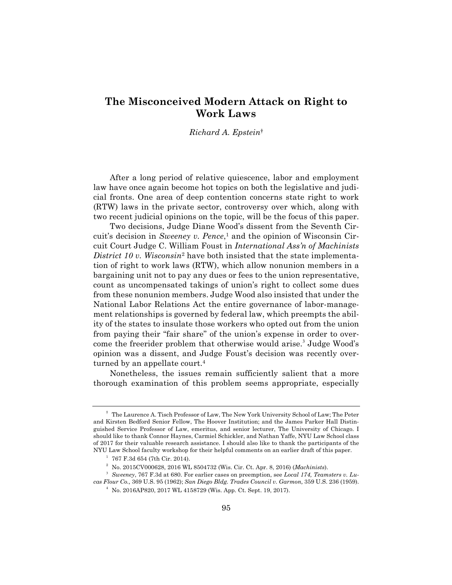# **The Misconceived Modern Attack on Right to Work Laws**

### *Richard A. Epstein*†

After a long period of relative quiescence, labor and employment law have once again become hot topics on both the legislative and judicial fronts. One area of deep contention concerns state right to work (RTW) laws in the private sector, controversy over which, along with two recent judicial opinions on the topic, will be the focus of this paper.

Two decisions, Judge Diane Wood's dissent from the Seventh Circuit's decision in *Sweeney v. Pence*,<sup>1</sup> and the opinion of Wisconsin Circuit Court Judge C. William Foust in *International Ass'n of Machinists District 10 v. Wisconsin*<sup>2</sup> have both insisted that the state implementation of right to work laws (RTW), which allow nonunion members in a bargaining unit not to pay any dues or fees to the union representative, count as uncompensated takings of union's right to collect some dues from these nonunion members. Judge Wood also insisted that under the National Labor Relations Act the entire governance of labor-management relationships is governed by federal law, which preempts the ability of the states to insulate those workers who opted out from the union from paying their "fair share" of the union's expense in order to overcome the freerider problem that otherwise would arise.<sup>3</sup> Judge Wood's opinion was a dissent, and Judge Foust's decision was recently overturned by an appellate court.<sup>4</sup>

Nonetheless, the issues remain sufficiently salient that a more thorough examination of this problem seems appropriate, especially

<sup>†</sup> The Laurence A. Tisch Professor of Law, The New York University School of Law; The Peter and Kirsten Bedford Senior Fellow, The Hoover Institution; and the James Parker Hall Distinguished Service Professor of Law, emeritus, and senior lecturer, The University of Chicago. I should like to thank Connor Haynes, Carmiel Schickler, and Nathan Yaffe, NYU Law School class of 2017 for their valuable research assistance. I should also like to thank the participants of the NYU Law School faculty workshop for their helpful comments on an earlier draft of this paper.

 $1$  767 F.3d 654 (7th Cir. 2014).

<sup>2</sup> No. 2015CV000628, 2016 WL 8504732 (Wis. Cir. Ct. Apr. 8, 2016) (*Machinists*).

<sup>3</sup> *Sweeney*, 767 F.3d at 680. For earlier cases on preemption, see *Local 174, Teamsters v. Lucas Flour Co.,* 369 U.S. 95 (1962); *San Diego Bldg. Trades Council v. Garmon,* 359 U.S. 236 (1959).

<sup>4</sup> No. 2016AP820, 2017 WL 4158729 (Wis. App. Ct. Sept. 19, 2017).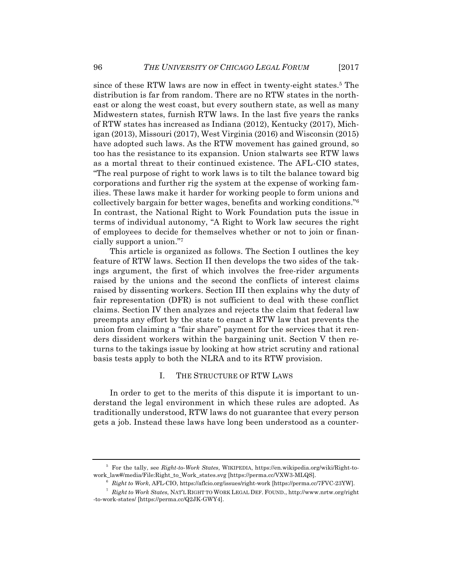since of these RTW laws are now in effect in twenty-eight states.<sup>5</sup> The distribution is far from random. There are no RTW states in the northeast or along the west coast, but every southern state, as well as many Midwestern states, furnish RTW laws. In the last five years the ranks of RTW states has increased as Indiana (2012), Kentucky (2017), Michigan (2013), Missouri (2017), West Virginia (2016) and Wisconsin (2015) have adopted such laws. As the RTW movement has gained ground, so too has the resistance to its expansion. Union stalwarts see RTW laws as a mortal threat to their continued existence. The AFL-CIO states, "The real purpose of right to work laws is to tilt the balance toward big corporations and further rig the system at the expense of working families. These laws make it harder for working people to form unions and collectively bargain for better wages, benefits and working conditions."6 In contrast, the National Right to Work Foundation puts the issue in terms of individual autonomy, "A Right to Work law secures the right of employees to decide for themselves whether or not to join or financially support a union."7

This article is organized as follows. The Section I outlines the key feature of RTW laws. Section II then develops the two sides of the takings argument, the first of which involves the free-rider arguments raised by the unions and the second the conflicts of interest claims raised by dissenting workers. Section III then explains why the duty of fair representation (DFR) is not sufficient to deal with these conflict claims. Section IV then analyzes and rejects the claim that federal law preempts any effort by the state to enact a RTW law that prevents the union from claiming a "fair share" payment for the services that it renders dissident workers within the bargaining unit. Section V then returns to the takings issue by looking at how strict scrutiny and rational basis tests apply to both the NLRA and to its RTW provision.

#### I. THE STRUCTURE OF RTW LAWS

In order to get to the merits of this dispute it is important to understand the legal environment in which these rules are adopted. As traditionally understood, RTW laws do not guarantee that every person gets a job. Instead these laws have long been understood as a counter-

<sup>5</sup> For the tally, see *Right-to-Work States*, WIKIPEDIA, https://en.wikipedia.org/wiki/Right-towork\_law#/media/File:Right\_to\_Work\_states.svg [https://perma.cc/VXW3-MLQS].

<sup>6</sup> *Right to Work*, AFL-CIO, https://aflcio.org/issues/right-work [https://perma.cc/7FVC-23YW].

<sup>7</sup> *Right to Work States*, NAT'L RIGHT TO WORK LEGAL DEF. FOUND., http://www.nrtw.org/right -to-work-states/ [https://perma.cc/Q2JK-GWY4].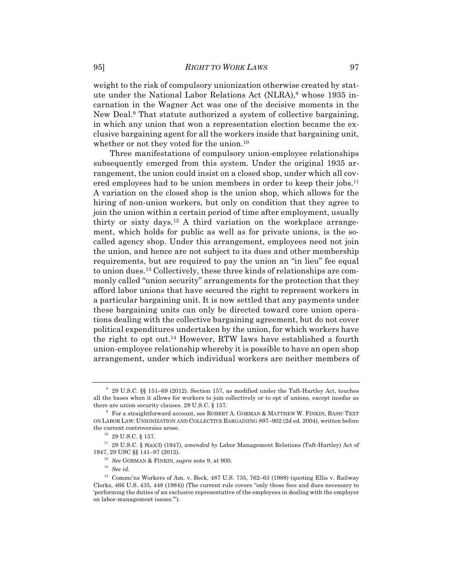weight to the risk of compulsory unionization otherwise created by statute under the National Labor Relations Act (NLRA),<sup>8</sup> whose 1935 incarnation in the Wagner Act was one of the decisive moments in the New Deal.9 That statute authorized a system of collective bargaining, in which any union that won a representation election became the exclusive bargaining agent for all the workers inside that bargaining unit, whether or not they voted for the union.<sup>10</sup>

Three manifestations of compulsory union-employee relationships subsequently emerged from this system. Under the original 1935 arrangement, the union could insist on a closed shop, under which all covered employees had to be union members in order to keep their jobs.<sup>11</sup> A variation on the closed shop is the union shop, which allows for the hiring of non-union workers, but only on condition that they agree to join the union within a certain period of time after employment, usually thirty or sixty days.12 A third variation on the workplace arrangement, which holds for public as well as for private unions, is the socalled agency shop. Under this arrangement, employees need not join the union, and hence are not subject to its dues and other membership requirements, but are required to pay the union an "in lieu" fee equal to union dues.13 Collectively, these three kinds of relationships are commonly called "union security" arrangements for the protection that they afford labor unions that have secured the right to represent workers in a particular bargaining unit. It is now settled that any payments under these bargaining units can only be directed toward core union operations dealing with the collective bargaining agreement, but do not cover political expenditures undertaken by the union, for which workers have the right to opt out.14 However, RTW laws have established a fourth union-employee relationship whereby it is possible to have an open shop arrangement, under which individual workers are neither members of

<sup>8</sup> 29 U.S.C. §§ 151–69 (2012). Section 157, as modified under the Taft-Hartley Act, touches all the bases when it allows for workers to join collectively or to opt of unions, except insofar as there are union security clauses. 29 U.S.C. § 157.

<sup>9</sup> For a straightforward account, see ROBERT A. GORMAN & MATTHEW W. FINKIN, BASIC TEXT ON LABOR LAW: UNIONIZATION AND COLLECTIVE BARGAINING 897–902 (2d ed. 2004), written before the current controversies arose.

 $^{10}$  29 U.S.C.  $\S$  157.

<sup>11</sup> 29 U.S.C. § 8(a)(3) (1947), *amended by* Labor Management Relations (Taft-Hartley) Act of 1947, 29 USC §§ 141–97 (2012).

<sup>12</sup> *See* GORMAN & FINKIN, *supra* note 9, at 900.

<sup>13</sup> *See id.*

 $^{14}\,$  Commc'ns Workers of Am. v. Beck, 487 U.S. 735, 762–63 (1988) (quoting Ellis v. Railway Clerks, 466 U.S. 435, 448 (1984)) (The current rule covers "only those fees and dues necessary to 'performing the duties of an exclusive representative of the employees in dealing with the employer on labor-management issues.'").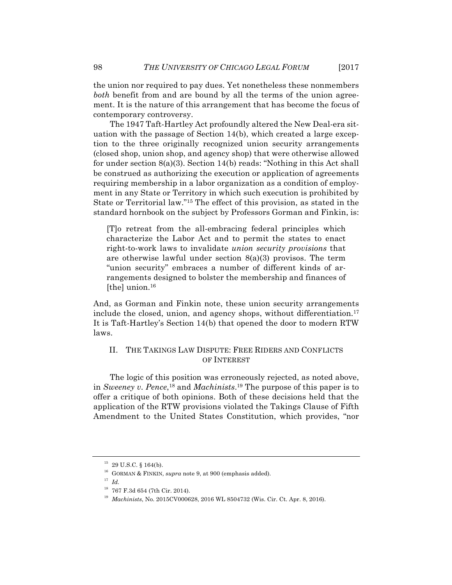the union nor required to pay dues. Yet nonetheless these nonmembers *both* benefit from and are bound by all the terms of the union agreement. It is the nature of this arrangement that has become the focus of contemporary controversy.

The 1947 Taft-Hartley Act profoundly altered the New Deal-era situation with the passage of Section 14(b), which created a large exception to the three originally recognized union security arrangements (closed shop, union shop, and agency shop) that were otherwise allowed for under section 8(a)(3). Section 14(b) reads: "Nothing in this Act shall be construed as authorizing the execution or application of agreements requiring membership in a labor organization as a condition of employment in any State or Territory in which such execution is prohibited by State or Territorial law."15 The effect of this provision, as stated in the standard hornbook on the subject by Professors Gorman and Finkin, is:

[T]o retreat from the all-embracing federal principles which characterize the Labor Act and to permit the states to enact right-to-work laws to invalidate *union security provisions* that are otherwise lawful under section 8(a)(3) provisos. The term "union security" embraces a number of different kinds of arrangements designed to bolster the membership and finances of [the] union. $16$ 

And, as Gorman and Finkin note, these union security arrangements include the closed, union, and agency shops, without differentiation.17 It is Taft-Hartley's Section 14(b) that opened the door to modern RTW laws.

## II. THE TAKINGS LAW DISPUTE: FREE RIDERS AND CONFLICTS OF INTEREST

The logic of this position was erroneously rejected, as noted above, in *Sweeney v. Pence*, <sup>18</sup> and *Machinists*. <sup>19</sup> The purpose of this paper is to offer a critique of both opinions. Both of these decisions held that the application of the RTW provisions violated the Takings Clause of Fifth Amendment to the United States Constitution, which provides, "nor

<sup>15</sup> 29 U.S.C. § 164(b).

<sup>16</sup> GORMAN & FINKIN, *supra* note 9, at 900 (emphasis added).

<sup>17</sup> *Id.*

 $^{18}\,$  767 F.3d 654 (7th Cir. 2014).

<sup>19</sup> *Machinists*, No. 2015CV000628, 2016 WL 8504732 (Wis. Cir. Ct. Apr. 8, 2016).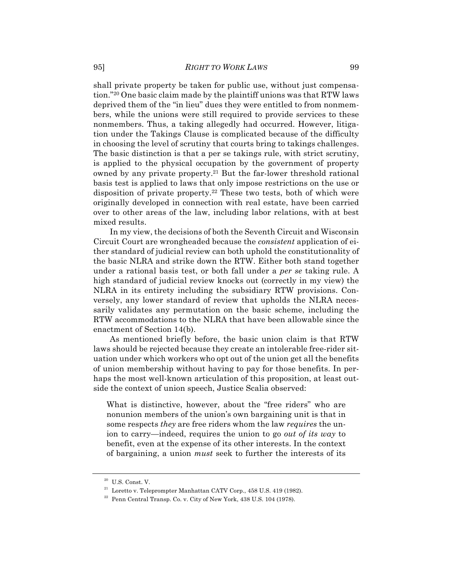shall private property be taken for public use, without just compensation."20 One basic claim made by the plaintiff unions was that RTW laws deprived them of the "in lieu" dues they were entitled to from nonmembers, while the unions were still required to provide services to these nonmembers. Thus, a taking allegedly had occurred. However, litigation under the Takings Clause is complicated because of the difficulty in choosing the level of scrutiny that courts bring to takings challenges. The basic distinction is that a per se takings rule, with strict scrutiny, is applied to the physical occupation by the government of property owned by any private property.21 But the far-lower threshold rational basis test is applied to laws that only impose restrictions on the use or disposition of private property.22 These two tests, both of which were originally developed in connection with real estate, have been carried over to other areas of the law, including labor relations, with at best mixed results.

In my view, the decisions of both the Seventh Circuit and Wisconsin Circuit Court are wrongheaded because the *consistent* application of either standard of judicial review can both uphold the constitutionality of the basic NLRA and strike down the RTW. Either both stand together under a rational basis test, or both fall under a *per se* taking rule. A high standard of judicial review knocks out (correctly in my view) the NLRA in its entirety including the subsidiary RTW provisions. Conversely, any lower standard of review that upholds the NLRA necessarily validates any permutation on the basic scheme, including the RTW accommodations to the NLRA that have been allowable since the enactment of Section 14(b).

As mentioned briefly before, the basic union claim is that RTW laws should be rejected because they create an intolerable free-rider situation under which workers who opt out of the union get all the benefits of union membership without having to pay for those benefits. In perhaps the most well-known articulation of this proposition, at least outside the context of union speech, Justice Scalia observed:

What is distinctive, however, about the "free riders" who are nonunion members of the union's own bargaining unit is that in some respects *they* are free riders whom the law *requires* the union to carry—indeed, requires the union to go *out of its way* to benefit, even at the expense of its other interests. In the context of bargaining, a union *must* seek to further the interests of its

 $20$  U.S. Const. V.

 $^{\rm 21}$  Loretto v. Teleprompter Manhattan CATV Corp., 458 U.S. 419 (1982).

 $22$  Penn Central Transp. Co. v. City of New York, 438 U.S. 104 (1978).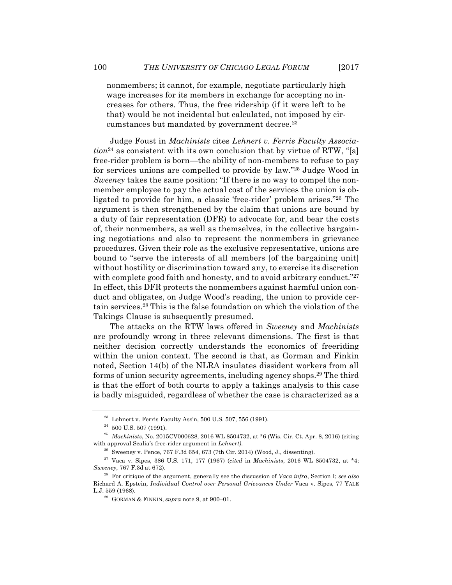nonmembers; it cannot, for example, negotiate particularly high wage increases for its members in exchange for accepting no increases for others. Thus, the free ridership (if it were left to be that) would be not incidental but calculated, not imposed by circumstances but mandated by government decree.<sup>23</sup>

Judge Foust in *Machinists* cites *Lehnert v. Ferris Faculty Associa* $tion<sup>24</sup>$  as consistent with its own conclusion that by virtue of RTW, "[a] free-rider problem is born—the ability of non-members to refuse to pay for services unions are compelled to provide by law."25 Judge Wood in *Sweeney* takes the same position: "If there is no way to compel the nonmember employee to pay the actual cost of the services the union is obligated to provide for him, a classic 'free-rider' problem arises."26 The argument is then strengthened by the claim that unions are bound by a duty of fair representation (DFR) to advocate for, and bear the costs of, their nonmembers, as well as themselves, in the collective bargaining negotiations and also to represent the nonmembers in grievance procedures. Given their role as the exclusive representative, unions are bound to "serve the interests of all members [of the bargaining unit] without hostility or discrimination toward any, to exercise its discretion with complete good faith and honesty, and to avoid arbitrary conduct."<sup>27</sup> In effect, this DFR protects the nonmembers against harmful union conduct and obligates, on Judge Wood's reading, the union to provide certain services.28 This is the false foundation on which the violation of the Takings Clause is subsequently presumed.

The attacks on the RTW laws offered in *Sweeney* and *Machinists*  are profoundly wrong in three relevant dimensions. The first is that neither decision correctly understands the economics of freeriding within the union context. The second is that, as Gorman and Finkin noted, Section 14(b) of the NLRA insulates dissident workers from all forms of union security agreements, including agency shops.29 The third is that the effort of both courts to apply a takings analysis to this case is badly misguided, regardless of whether the case is characterized as a

 $23$  Lehnert v. Ferris Faculty Ass'n, 500 U.S. 507, 556 (1991).

 $24$  500 U.S. 507 (1991).

<sup>25</sup> *Machinists*, No. 2015CV000628, 2016 WL 8504732, at \*6 (Wis. Cir. Ct. Apr. 8, 2016) (citing with approval Scalia's free-rider argument in *Lehnert)*.

<sup>&</sup>lt;sup>26</sup> Sweeney v. Pence, 767 F.3d 654, 673 (7th Cir. 2014) (Wood, J., dissenting).

<sup>27</sup> Vaca v. Sipes, 386 U.S. 171, 177 (1967) (*cited* in *Machinists*, 2016 WL 8504732, at \*4; *Sweeney*, 767 F.3d at 672).

<sup>28</sup> For critique of the argument, generally see the discussion of *Vaca infra*, Section I; *see also*  Richard A. Epstein, *Individual Control over Personal Grievances Under* Vaca v. Sipes*,* 77 YALE L.J. 559 (1968).

<sup>29</sup> GORMAN & FINKIN, *supra* note 9, at 900–01.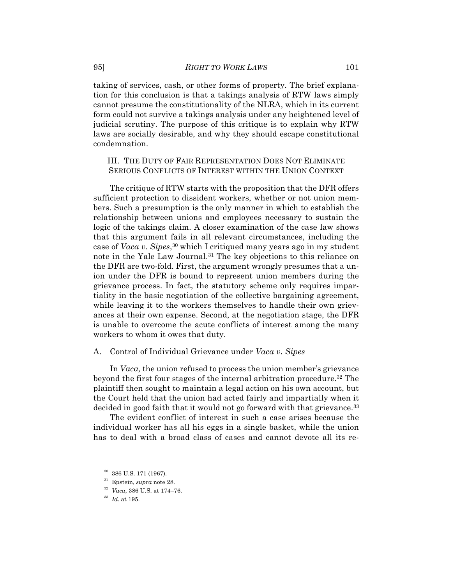taking of services, cash, or other forms of property. The brief explanation for this conclusion is that a takings analysis of RTW laws simply cannot presume the constitutionality of the NLRA, which in its current form could not survive a takings analysis under any heightened level of judicial scrutiny. The purpose of this critique is to explain why RTW laws are socially desirable, and why they should escape constitutional condemnation.

# III. THE DUTY OF FAIR REPRESENTATION DOES NOT ELIMINATE SERIOUS CONFLICTS OF INTEREST WITHIN THE UNION CONTEXT

The critique of RTW starts with the proposition that the DFR offers sufficient protection to dissident workers, whether or not union members. Such a presumption is the only manner in which to establish the relationship between unions and employees necessary to sustain the logic of the takings claim. A closer examination of the case law shows that this argument fails in all relevant circumstances, including the case of *Vaca v. Sipes*, <sup>30</sup> which I critiqued many years ago in my student note in the Yale Law Journal.31 The key objections to this reliance on the DFR are two-fold. First, the argument wrongly presumes that a union under the DFR is bound to represent union members during the grievance process. In fact, the statutory scheme only requires impartiality in the basic negotiation of the collective bargaining agreement, while leaving it to the workers themselves to handle their own grievances at their own expense. Second, at the negotiation stage, the DFR is unable to overcome the acute conflicts of interest among the many workers to whom it owes that duty.

#### A. Control of Individual Grievance under *Vaca v. Sipes*

In *Vaca,* the union refused to process the union member's grievance beyond the first four stages of the internal arbitration procedure.32 The plaintiff then sought to maintain a legal action on his own account, but the Court held that the union had acted fairly and impartially when it decided in good faith that it would not go forward with that grievance.<sup>33</sup>

The evident conflict of interest in such a case arises because the individual worker has all his eggs in a single basket, while the union has to deal with a broad class of cases and cannot devote all its re-

 $^{30}\,$  386 U.S. 171 (1967).

<sup>31</sup> Epstein, *supra* note 28.

<sup>32</sup> *Vaca*, 386 U.S. at 174–76.

<sup>33</sup> *Id*. at 195.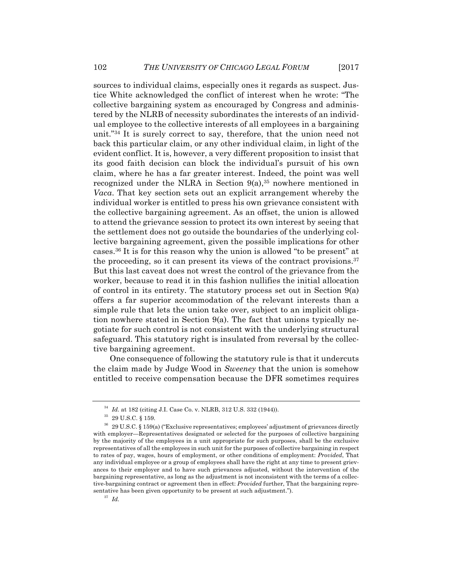sources to individual claims, especially ones it regards as suspect. Justice White acknowledged the conflict of interest when he wrote: "The collective bargaining system as encouraged by Congress and administered by the NLRB of necessity subordinates the interests of an individual employee to the collective interests of all employees in a bargaining unit."34 It is surely correct to say, therefore, that the union need not back this particular claim, or any other individual claim, in light of the evident conflict. It is, however, a very different proposition to insist that its good faith decision can block the individual's pursuit of his own claim, where he has a far greater interest. Indeed, the point was well recognized under the NLRA in Section  $9(a)$ ,<sup>35</sup> nowhere mentioned in *Vaca*. That key section sets out an explicit arrangement whereby the individual worker is entitled to press his own grievance consistent with the collective bargaining agreement. As an offset, the union is allowed to attend the grievance session to protect its own interest by seeing that the settlement does not go outside the boundaries of the underlying collective bargaining agreement, given the possible implications for other cases.36 It is for this reason why the union is allowed "to be present" at the proceeding, so it can present its views of the contract provisions.<sup>37</sup> But this last caveat does not wrest the control of the grievance from the worker, because to read it in this fashion nullifies the initial allocation of control in its entirety. The statutory process set out in Section  $9(a)$ offers a far superior accommodation of the relevant interests than a simple rule that lets the union take over, subject to an implicit obligation nowhere stated in Section  $9(a)$ . The fact that unions typically negotiate for such control is not consistent with the underlying structural safeguard. This statutory right is insulated from reversal by the collective bargaining agreement.

One consequence of following the statutory rule is that it undercuts the claim made by Judge Wood in *Sweeney* that the union is somehow entitled to receive compensation because the DFR sometimes requires

<sup>34</sup> *Id.* at 182 (citing J.I. Case Co. v. NLRB, 312 U.S. 332 (1944)).

<sup>35</sup> 29 U.S.C. § 159.

<sup>36</sup> 29 U.S.C. § 159(a) ("Exclusive representatives; employees' adjustment of grievances directly with employer—Representatives designated or selected for the purposes of collective bargaining by the majority of the employees in a unit appropriate for such purposes, shall be the exclusive representatives of all the employees in such unit for the purposes of collective bargaining in respect to rates of pay, wages, hours of employment, or other conditions of employment: *Provided*, That any individual employee or a group of employees shall have the right at any time to present grievances to their employer and to have such grievances adjusted, without the intervention of the bargaining representative, as long as the adjustment is not inconsistent with the terms of a collective-bargaining contract or agreement then in effect: *Provided* further, That the bargaining representative has been given opportunity to be present at such adjustment.").

<sup>37</sup> *Id.*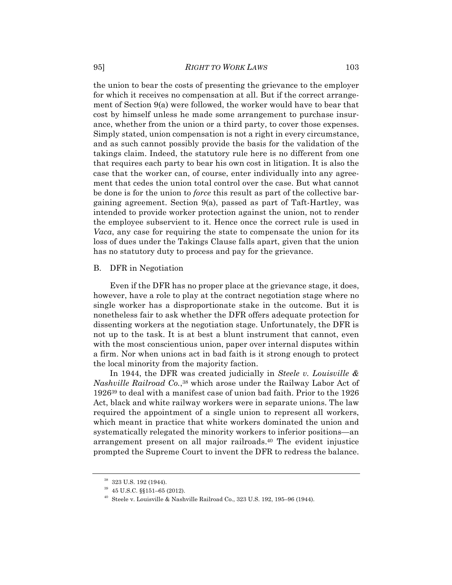the union to bear the costs of presenting the grievance to the employer for which it receives no compensation at all. But if the correct arrangement of Section 9(a) were followed, the worker would have to bear that cost by himself unless he made some arrangement to purchase insurance, whether from the union or a third party, to cover those expenses. Simply stated, union compensation is not a right in every circumstance, and as such cannot possibly provide the basis for the validation of the takings claim. Indeed, the statutory rule here is no different from one that requires each party to bear his own cost in litigation. It is also the case that the worker can, of course, enter individually into any agreement that cedes the union total control over the case. But what cannot be done is for the union to *force* this result as part of the collective bargaining agreement. Section 9(a), passed as part of Taft-Hartley, was intended to provide worker protection against the union, not to render the employee subservient to it. Hence once the correct rule is used in *Vaca*, any case for requiring the state to compensate the union for its loss of dues under the Takings Clause falls apart, given that the union has no statutory duty to process and pay for the grievance.

#### B. DFR in Negotiation

Even if the DFR has no proper place at the grievance stage, it does, however, have a role to play at the contract negotiation stage where no single worker has a disproportionate stake in the outcome. But it is nonetheless fair to ask whether the DFR offers adequate protection for dissenting workers at the negotiation stage. Unfortunately, the DFR is not up to the task. It is at best a blunt instrument that cannot, even with the most conscientious union, paper over internal disputes within a firm. Nor when unions act in bad faith is it strong enough to protect the local minority from the majority faction.

In 1944, the DFR was created judicially in *Steele v. Louisville & Nashville Railroad Co.*, <sup>38</sup> which arose under the Railway Labor Act of 192639 to deal with a manifest case of union bad faith. Prior to the 1926 Act, black and white railway workers were in separate unions. The law required the appointment of a single union to represent all workers, which meant in practice that white workers dominated the union and systematically relegated the minority workers to inferior positions—an arrangement present on all major railroads.40 The evident injustice prompted the Supreme Court to invent the DFR to redress the balance.

<sup>38</sup> 323 U.S. 192 (1944).

<sup>39</sup> 45 U.S.C. §§151–65 (2012).

 $40$  Steele v. Louisville & Nashville Railroad Co., 323 U.S. 192, 195–96 (1944).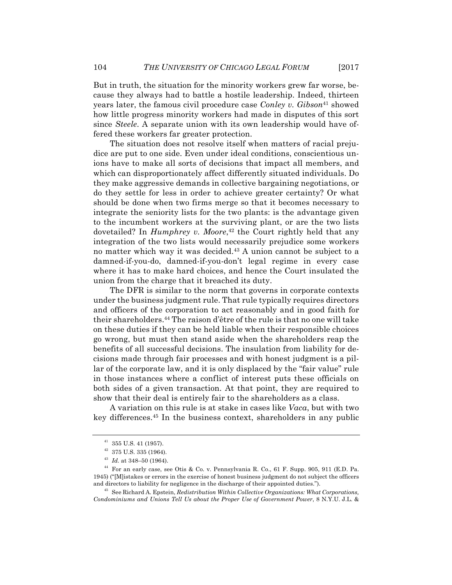But in truth, the situation for the minority workers grew far worse, because they always had to battle a hostile leadership. Indeed, thirteen years later, the famous civil procedure case *Conley v. Gibson*<sup>41</sup> showed how little progress minority workers had made in disputes of this sort since *Steele*. A separate union with its own leadership would have offered these workers far greater protection.

The situation does not resolve itself when matters of racial prejudice are put to one side. Even under ideal conditions, conscientious unions have to make all sorts of decisions that impact all members, and which can disproportionately affect differently situated individuals. Do they make aggressive demands in collective bargaining negotiations, or do they settle for less in order to achieve greater certainty? Or what should be done when two firms merge so that it becomes necessary to integrate the seniority lists for the two plants: is the advantage given to the incumbent workers at the surviving plant, or are the two lists dovetailed? In *Humphrey v. Moore*, <sup>42</sup> the Court rightly held that any integration of the two lists would necessarily prejudice some workers no matter which way it was decided.43 A union cannot be subject to a damned-if-you-do, damned-if-you-don't legal regime in every case where it has to make hard choices, and hence the Court insulated the union from the charge that it breached its duty.

The DFR is similar to the norm that governs in corporate contexts under the business judgment rule. That rule typically requires directors and officers of the corporation to act reasonably and in good faith for their shareholders.44 The raison d'être of the rule is that no one will take on these duties if they can be held liable when their responsible choices go wrong, but must then stand aside when the shareholders reap the benefits of all successful decisions. The insulation from liability for decisions made through fair processes and with honest judgment is a pillar of the corporate law, and it is only displaced by the "fair value" rule in those instances where a conflict of interest puts these officials on both sides of a given transaction. At that point, they are required to show that their deal is entirely fair to the shareholders as a class.

A variation on this rule is at stake in cases like *Vaca*, but with two key differences.45 In the business context, shareholders in any public

 $41$  355 U.S. 41 (1957).

 $^{42}\,$  375 U.S. 335 (1964).

<sup>43</sup> *Id.* at 348–50 (1964).

 $^{44}$  For an early case, see Otis & Co. v. Pennsylvania R. Co., 61 F. Supp. 905, 911 (E.D. Pa. 1945) ("[M]istakes or errors in the exercise of honest business judgment do not subject the officers and directors to liability for negligence in the discharge of their appointed duties.").

<sup>45</sup> See Richard A. Epstein, *Redistribution Within Collective Organizations: What Corporations, Condominiums and Unions Tell Us about the Proper Use of Government Power*, 8 N.Y.U. J.L. &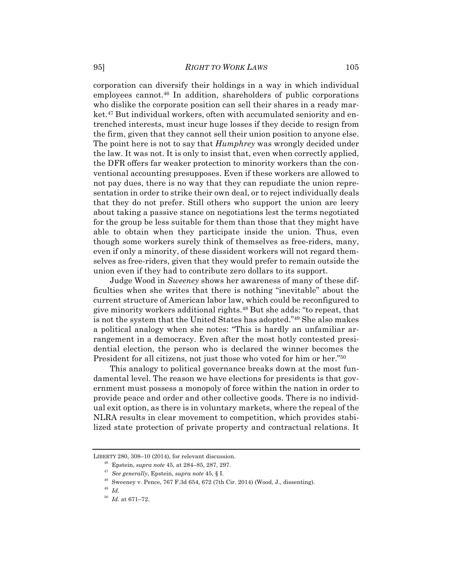corporation can diversify their holdings in a way in which individual employees cannot.46 In addition, shareholders of public corporations who dislike the corporate position can sell their shares in a ready market.<sup>47</sup> But individual workers, often with accumulated seniority and entrenched interests, must incur huge losses if they decide to resign from the firm, given that they cannot sell their union position to anyone else. The point here is not to say that *Humphrey* was wrongly decided under the law. It was not. It is only to insist that, even when correctly applied, the DFR offers far weaker protection to minority workers than the conventional accounting presupposes. Even if these workers are allowed to not pay dues, there is no way that they can repudiate the union representation in order to strike their own deal, or to reject individually deals that they do not prefer. Still others who support the union are leery about taking a passive stance on negotiations lest the terms negotiated for the group be less suitable for them than those that they might have able to obtain when they participate inside the union. Thus, even though some workers surely think of themselves as free-riders, many, even if only a minority, of these dissident workers will not regard themselves as free-riders, given that they would prefer to remain outside the union even if they had to contribute zero dollars to its support.

Judge Wood in *Sweeney* shows her awareness of many of these difficulties when she writes that there is nothing "inevitable" about the current structure of American labor law, which could be reconfigured to give minority workers additional rights.48 But she adds: "to repeat, that is not the system that the United States has adopted."49 She also makes a political analogy when she notes: "This is hardly an unfamiliar arrangement in a democracy. Even after the most hotly contested presidential election, the person who is declared the winner becomes the President for all citizens, not just those who voted for him or her."50

This analogy to political governance breaks down at the most fundamental level. The reason we have elections for presidents is that government must possess a monopoly of force within the nation in order to provide peace and order and other collective goods. There is no individual exit option, as there is in voluntary markets, where the repeal of the NLRA results in clear movement to competition, which provides stabilized state protection of private property and contractual relations. It

LIBERTY 280, 308–10 (2014), for relevant discussion.

<sup>46</sup> Epstein, *supra note* 45, at 284–85, 287, 297.

<sup>47</sup> *See generally*, Epstein, *supra note* 45, § I.

<sup>48</sup> Sweeney v. Pence, 767 F.3d 654, 672 (7th Cir. 2014) (Wood, J., dissenting).

<sup>49</sup> *Id.*

 $\,$   $50$   $\,$   $Id.$  at 671–72.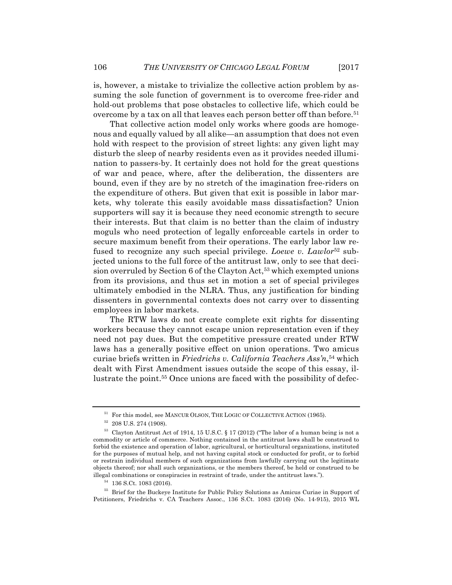is, however, a mistake to trivialize the collective action problem by assuming the sole function of government is to overcome free-rider and hold-out problems that pose obstacles to collective life, which could be overcome by a tax on all that leaves each person better off than before.51

That collective action model only works where goods are homogenous and equally valued by all alike—an assumption that does not even hold with respect to the provision of street lights: any given light may disturb the sleep of nearby residents even as it provides needed illumination to passers-by. It certainly does not hold for the great questions of war and peace, where, after the deliberation, the dissenters are bound, even if they are by no stretch of the imagination free-riders on the expenditure of others. But given that exit is possible in labor markets, why tolerate this easily avoidable mass dissatisfaction? Union supporters will say it is because they need economic strength to secure their interests. But that claim is no better than the claim of industry moguls who need protection of legally enforceable cartels in order to secure maximum benefit from their operations. The early labor law refused to recognize any such special privilege. *Loewe v. Lawlor*<sup>52</sup> subjected unions to the full force of the antitrust law, only to see that decision overruled by Section 6 of the Clayton Act,<sup>53</sup> which exempted unions from its provisions, and thus set in motion a set of special privileges ultimately embodied in the NLRA. Thus, any justification for binding dissenters in governmental contexts does not carry over to dissenting employees in labor markets.

The RTW laws do not create complete exit rights for dissenting workers because they cannot escape union representation even if they need not pay dues. But the competitive pressure created under RTW laws has a generally positive effect on union operations. Two amicus curiae briefs written in *Friedrichs v. California Teachers Ass'n*,54 which dealt with First Amendment issues outside the scope of this essay, illustrate the point.55 Once unions are faced with the possibility of defec-

<sup>&</sup>lt;sup>51</sup> For this model, see MANCUR OLSON, THE LOGIC OF COLLECTIVE ACTION (1965).

 $52$  208 U.S. 274 (1908).

<sup>53</sup> Clayton Antitrust Act of 1914, 15 U.S.C. § 17 (2012) ("The labor of a human being is not a commodity or article of commerce. Nothing contained in the antitrust laws shall be construed to forbid the existence and operation of labor, agricultural, or horticultural organizations, instituted for the purposes of mutual help, and not having capital stock or conducted for profit, or to forbid or restrain individual members of such organizations from lawfully carrying out the legitimate objects thereof; nor shall such organizations, or the members thereof, be held or construed to be illegal combinations or conspiracies in restraint of trade, under the antitrust laws.").

<sup>54</sup> 136 S.Ct. 1083 (2016).

<sup>55</sup> Brief for the Buckeye Institute for Public Policy Solutions as Amicus Curiae in Support of Petitioners, Friedrichs v. CA Teachers Assoc., 136 S.Ct. 1083 (2016) (No. 14-915), 2015 WL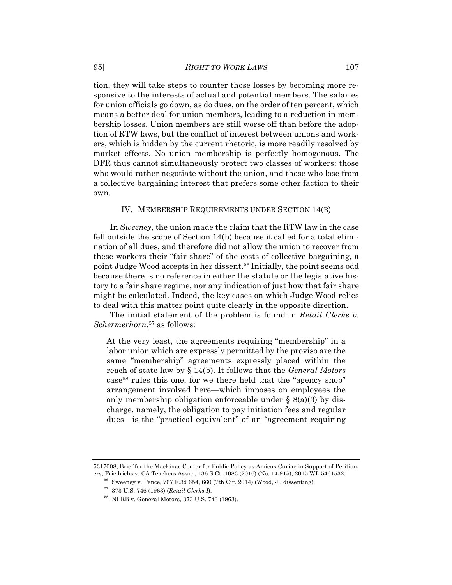tion, they will take steps to counter those losses by becoming more responsive to the interests of actual and potential members. The salaries for union officials go down, as do dues, on the order of ten percent, which means a better deal for union members, leading to a reduction in membership losses. Union members are still worse off than before the adoption of RTW laws, but the conflict of interest between unions and workers, which is hidden by the current rhetoric, is more readily resolved by market effects. No union membership is perfectly homogenous. The DFR thus cannot simultaneously protect two classes of workers: those who would rather negotiate without the union, and those who lose from a collective bargaining interest that prefers some other faction to their own.

#### IV. MEMBERSHIP REQUIREMENTS UNDER SECTION 14(B)

In *Sweeney*, the union made the claim that the RTW law in the case fell outside the scope of Section 14(b) because it called for a total elimination of all dues, and therefore did not allow the union to recover from these workers their "fair share" of the costs of collective bargaining, a point Judge Wood accepts in her dissent.56 Initially, the point seems odd because there is no reference in either the statute or the legislative history to a fair share regime, nor any indication of just how that fair share might be calculated. Indeed, the key cases on which Judge Wood relies to deal with this matter point quite clearly in the opposite direction.

The initial statement of the problem is found in *Retail Clerks v. Schermerhorn*, <sup>57</sup> as follows:

At the very least, the agreements requiring "membership" in a labor union which are expressly permitted by the proviso are the same "membership" agreements expressly placed within the reach of state law by § 14(b). It follows that the *General Motors* case58 rules this one, for we there held that the "agency shop" arrangement involved here—which imposes on employees the only membership obligation enforceable under  $\S$  8(a)(3) by discharge, namely, the obligation to pay initiation fees and regular dues—is the "practical equivalent" of an "agreement requiring

<sup>5317008;</sup> Brief for the Mackinac Center for Public Policy as Amicus Curiae in Support of Petitioners, Friedrichs v. CA Teachers Assoc., 136 S.Ct. 1083 (2016) (No. 14-915), 2015 WL 5461532.

<sup>56</sup> Sweeney v. Pence, 767 F.3d 654, 660 (7th Cir. 2014) (Wood, J., dissenting).

<sup>57</sup> 373 U.S. 746 (1963) (*Retail Clerks I*).

<sup>58</sup> NLRB v. General Motors, 373 U.S. 743 (1963).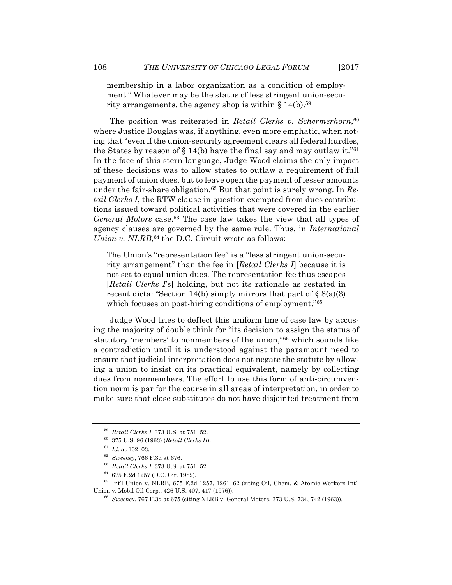membership in a labor organization as a condition of employment." Whatever may be the status of less stringent union-security arrangements, the agency shop is within  $\S 14(b)$ .<sup>59</sup>

The position was reiterated in *Retail Clerks v. Schermerhorn*, 60 where Justice Douglas was, if anything, even more emphatic, when noting that "even if the union-security agreement clears all federal hurdles, the States by reason of  $\S 14(b)$  have the final say and may outlaw it."<sup>61</sup> In the face of this stern language, Judge Wood claims the only impact of these decisions was to allow states to outlaw a requirement of full payment of union dues, but to leave open the payment of lesser amounts under the fair-share obligation.62 But that point is surely wrong. In *Retail Clerks I*, the RTW clause in question exempted from dues contributions issued toward political activities that were covered in the earlier *General Motors* case.63 The case law takes the view that all types of agency clauses are governed by the same rule. Thus, in *International Union v. NLRB*,<sup>64</sup> the D.C. Circuit wrote as follows:

The Union's "representation fee" is a "less stringent union-security arrangement" than the fee in [*Retail Clerks I*] because it is not set to equal union dues. The representation fee thus escapes [*Retail Clerks I*'s] holding, but not its rationale as restated in recent dicta: "Section 14(b) simply mirrors that part of  $\S$  8(a)(3) which focuses on post-hiring conditions of employment."65

Judge Wood tries to deflect this uniform line of case law by accusing the majority of double think for "its decision to assign the status of statutory 'members' to nonmembers of the union,"66 which sounds like a contradiction until it is understood against the paramount need to ensure that judicial interpretation does not negate the statute by allowing a union to insist on its practical equivalent, namely by collecting dues from nonmembers. The effort to use this form of anti-circumvention norm is par for the course in all areas of interpretation, in order to make sure that close substitutes do not have disjointed treatment from

<sup>59</sup> *Retail Clerks I*, 373 U.S. at 751–52.

<sup>60</sup> 375 U.S. 96 (1963) (*Retail Clerks II*).

 $^{61}\,$   $Id.\,$  at 102–03.

<sup>62</sup> *Sweeney*, 766 F.3d at 676.

<sup>63</sup> *Retail Clerks I*, 373 U.S. at 751–52.

<sup>64</sup> 675 F.2d 1257 (D.C. Cir. 1982).

<sup>65</sup> Int'l Union v. NLRB, 675 F.2d 1257, 1261–62 (citing Oil, Chem. & Atomic Workers Int'l Union v. Mobil Oil Corp*.*, 426 U.S. 407, 417 (1976)).

<sup>66</sup> *Sweeney*, 767 F.3d at 675 (citing NLRB v. General Motors, 373 U.S. 734, 742 (1963)).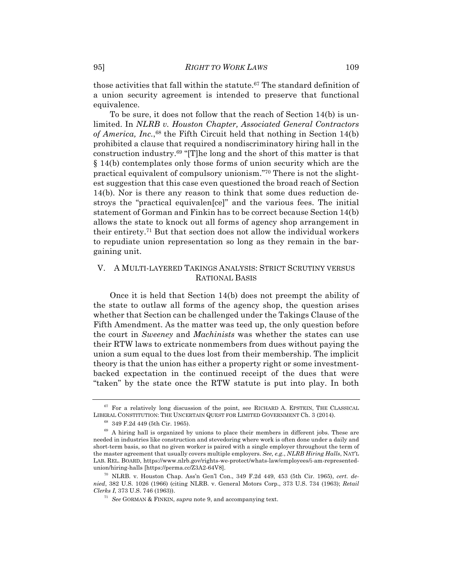those activities that fall within the statute.<sup>67</sup> The standard definition of a union security agreement is intended to preserve that functional equivalence.

To be sure, it does not follow that the reach of Section 14(b) is unlimited. In *NLRB v. Houston Chapter, Associated General Contractors of America, Inc.*,68 the Fifth Circuit held that nothing in Section 14(b) prohibited a clause that required a nondiscriminatory hiring hall in the construction industry.69 "[T]he long and the short of this matter is that § 14(b) contemplates only those forms of union security which are the practical equivalent of compulsory unionism."70 There is not the slightest suggestion that this case even questioned the broad reach of Section 14(b). Nor is there any reason to think that some dues reduction destroys the "practical equivalen[ce]" and the various fees. The initial statement of Gorman and Finkin has to be correct because Section 14(b) allows the state to knock out all forms of agency shop arrangement in their entirety.71 But that section does not allow the individual workers to repudiate union representation so long as they remain in the bargaining unit.

# V. A MULTI-LAYERED TAKINGS ANALYSIS: STRICT SCRUTINY VERSUS RATIONAL BASIS

Once it is held that Section 14(b) does not preempt the ability of the state to outlaw all forms of the agency shop, the question arises whether that Section can be challenged under the Takings Clause of the Fifth Amendment. As the matter was teed up, the only question before the court in *Sweeney* and *Machinists* was whether the states can use their RTW laws to extricate nonmembers from dues without paying the union a sum equal to the dues lost from their membership. The implicit theory is that the union has either a property right or some investmentbacked expectation in the continued receipt of the dues that were "taken" by the state once the RTW statute is put into play. In both

 $67$  For a relatively long discussion of the point, see RICHARD A. EPSTEIN, THE CLASSICAL LIBERAL CONSTITUTION: THE UNCERTAIN QUEST FOR LIMITED GOVERNMENT Ch. 3 (2014).

<sup>68</sup> 349 F.2d 449 (5th Cir. 1965).

<sup>&</sup>lt;sup>69</sup> A hiring hall is organized by unions to place their members in different jobs. These are needed in industries like construction and stevedoring where work is often done under a daily and short-term basis, so that no given worker is paired with a single employer throughout the term of the master agreement that usually covers multiple employers. *See, e.g.*, *NLRB Hiring Halls*, NAT'L LAB. REL. BOARD, https://www.nlrb.gov/rights-we-protect/whats-law/employees/i-am-representedunion/hiring-halls [https://perma.cc/Z3A2-64V8].

<sup>70</sup> NLRB. v. Houston Chap. Ass'n Gen'l Con., 349 F.2d 449, 453 (5th Cir. 1965), *cert. denied*, 382 U.S. 1026 (1966) (citing NLRB. v. General Motors Corp., 373 U.S. 734 (1963); *Retail Clerks I*, 373 U.S. 746 (1963)).

<sup>71</sup> *See* GORMAN & FINKIN, *supra* note 9, and accompanying text.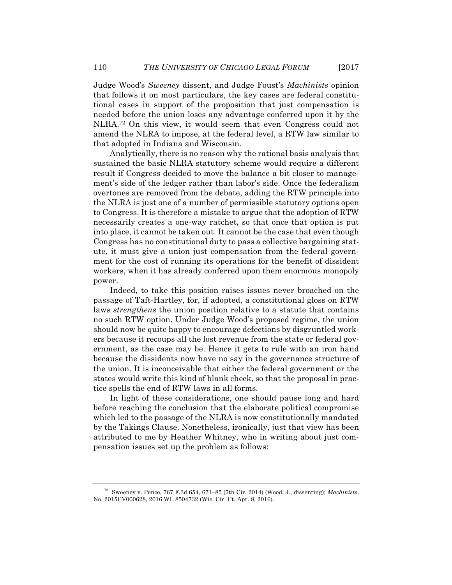Judge Wood's *Sweeney* dissent, and Judge Foust's *Machinists* opinion that follows it on most particulars, the key cases are federal constitutional cases in support of the proposition that just compensation is needed before the union loses any advantage conferred upon it by the NLRA.72 On this view, it would seem that even Congress could not amend the NLRA to impose, at the federal level, a RTW law similar to that adopted in Indiana and Wisconsin.

Analytically, there is no reason why the rational basis analysis that sustained the basic NLRA statutory scheme would require a different result if Congress decided to move the balance a bit closer to management's side of the ledger rather than labor's side. Once the federalism overtones are removed from the debate, adding the RTW principle into the NLRA is just one of a number of permissible statutory options open to Congress. It is therefore a mistake to argue that the adoption of RTW necessarily creates a one-way ratchet, so that once that option is put into place, it cannot be taken out. It cannot be the case that even though Congress has no constitutional duty to pass a collective bargaining statute, it must give a union just compensation from the federal government for the cost of running its operations for the benefit of dissident workers, when it has already conferred upon them enormous monopoly power.

Indeed, to take this position raises issues never broached on the passage of Taft-Hartley, for, if adopted, a constitutional gloss on RTW laws *strengthens* the union position relative to a statute that contains no such RTW option. Under Judge Wood's proposed regime, the union should now be quite happy to encourage defections by disgruntled workers because it recoups all the lost revenue from the state or federal government, as the case may be. Hence it gets to rule with an iron hand because the dissidents now have no say in the governance structure of the union. It is inconceivable that either the federal government or the states would write this kind of blank check, so that the proposal in practice spells the end of RTW laws in all forms.

In light of these considerations, one should pause long and hard before reaching the conclusion that the elaborate political compromise which led to the passage of the NLRA is now constitutionally mandated by the Takings Clause. Nonetheless, ironically, just that view has been attributed to me by Heather Whitney, who in writing about just compensation issues set up the problem as follows:

<sup>72</sup> Sweeney v. Pence, 767 F.3d 654, 671–85 (7th Cir. 2014) (Wood, J., dissenting); *Machinists*, No. 2015CV000628, 2016 WL 8504732 (Wis. Cir. Ct. Apr. 8, 2016).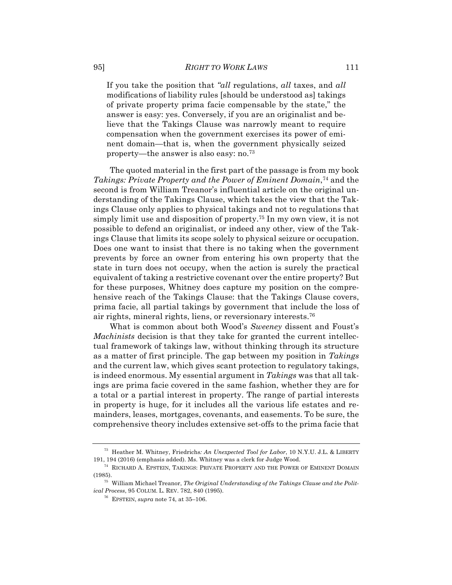If you take the position that *"all* regulations, *all* taxes, and *all* modifications of liability rules [should be understood as] takings of private property prima facie compensable by the state," the answer is easy: yes. Conversely, if you are an originalist and believe that the Takings Clause was narrowly meant to require compensation when the government exercises its power of eminent domain—that is, when the government physically seized property—the answer is also easy: no.73

The quoted material in the first part of the passage is from my book *Takings: Private Property and the Power of Eminent Domain*,74 and the second is from William Treanor's influential article on the original understanding of the Takings Clause, which takes the view that the Takings Clause only applies to physical takings and not to regulations that simply limit use and disposition of property.75 In my own view, it is not possible to defend an originalist, or indeed any other, view of the Takings Clause that limits its scope solely to physical seizure or occupation. Does one want to insist that there is no taking when the government prevents by force an owner from entering his own property that the state in turn does not occupy, when the action is surely the practical equivalent of taking a restrictive covenant over the entire property? But for these purposes, Whitney does capture my position on the comprehensive reach of the Takings Clause: that the Takings Clause covers, prima facie, all partial takings by government that include the loss of air rights, mineral rights, liens, or reversionary interests.76

What is common about both Wood's *Sweeney* dissent and Foust's *Machinists* decision is that they take for granted the current intellectual framework of takings law, without thinking through its structure as a matter of first principle. The gap between my position in *Takings* and the current law, which gives scant protection to regulatory takings, is indeed enormous. My essential argument in *Takings* was that all takings are prima facie covered in the same fashion, whether they are for a total or a partial interest in property. The range of partial interests in property is huge, for it includes all the various life estates and remainders, leases, mortgages, covenants, and easements. To be sure, the comprehensive theory includes extensive set-offs to the prima facie that

<sup>73</sup> Heather M. Whitney, Friedrichs*: An Unexpected Tool for Labor*, 10 N.Y.U. J.L. & LIBERTY 191, 194 (2016) (emphasis added). Ms. Whitney was a clerk for Judge Wood.

<sup>74</sup> RICHARD A. EPSTEIN, TAKINGS: PRIVATE PROPERTY AND THE POWER OF EMINENT DOMAIN (1985).

<sup>75</sup> William Michael Treanor, *The Original Understanding of the Takings Clause and the Political Process*, 95 COLUM. L. REV. 782, 840 (1995).

<sup>76</sup> EPSTEIN, *supra* note 74, at 35–106.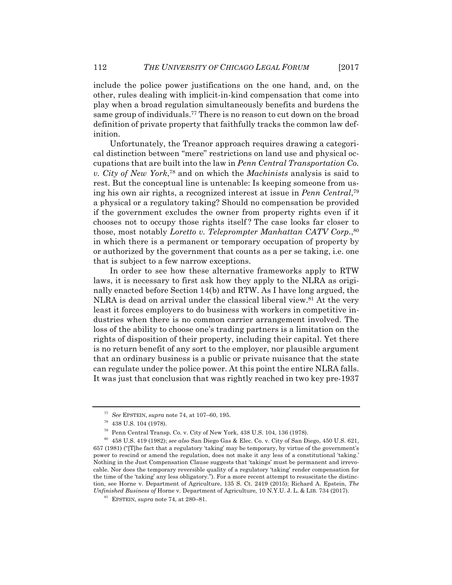include the police power justifications on the one hand, and, on the other, rules dealing with implicit-in-kind compensation that come into play when a broad regulation simultaneously benefits and burdens the same group of individuals.77 There is no reason to cut down on the broad definition of private property that faithfully tracks the common law definition.

Unfortunately, the Treanor approach requires drawing a categorical distinction between "mere" restrictions on land use and physical occupations that are built into the law in *Penn Central Transportation Co. v. City of New York*, <sup>78</sup> and on which the *Machinists* analysis is said to rest. But the conceptual line is untenable: Is keeping someone from using his own air rights, a recognized interest at issue in *Penn Central*, 79 a physical or a regulatory taking? Should no compensation be provided if the government excludes the owner from property rights even if it chooses not to occupy those rights itself ? The case looks far closer to those, most notably *Loretto v. Teleprompter Manhattan CATV Corp.*, 80 in which there is a permanent or temporary occupation of property by or authorized by the government that counts as a per se taking, i.e. one that is subject to a few narrow exceptions.

In order to see how these alternative frameworks apply to RTW laws, it is necessary to first ask how they apply to the NLRA as originally enacted before Section 14(b) and RTW. As I have long argued, the NLRA is dead on arrival under the classical liberal view.<sup>81</sup> At the very least it forces employers to do business with workers in competitive industries when there is no common carrier arrangement involved. The loss of the ability to choose one's trading partners is a limitation on the rights of disposition of their property, including their capital. Yet there is no return benefit of any sort to the employer, nor plausible argument that an ordinary business is a public or private nuisance that the state can regulate under the police power. At this point the entire NLRA falls. It was just that conclusion that was rightly reached in two key pre-1937

<sup>77</sup> *See* EPSTEIN, *supra* note 74, at 107–60, 195.

<sup>78</sup> 438 U.S. 104 (1978).

<sup>&</sup>lt;sup>79</sup> Penn Central Transp. Co. v. City of New York,  $438$  U.S.  $104$ ,  $136$  (1978).

<sup>80</sup> 458 U.S. 419 (1982); *see also* San Diego Gas & Elec. Co. v. City of San Diego, 450 U.S. 621, 657 (1981) ("[T]he fact that a regulatory 'taking' may be temporary, by virtue of the government's power to rescind or amend the regulation, does not make it any less of a constitutional 'taking.' Nothing in the Just Compensation Clause suggests that 'takings' must be permanent and irrevocable. Nor does the temporary reversible quality of a regulatory 'taking' render compensation for the time of the 'taking' any less obligatory."). For a more recent attempt to resuscitate the distinction, see Horne v. Department of Agriculture, 135 S. Ct. 2419 (2015); Richard A. Epstein, *The Unfinished Business of* Horne v. Department of Agriculture*,* 10 N.Y.U. J. L. & LIB. 734 (2017).

<sup>81</sup> EPSTEIN, *supra* note 74, at 280–81.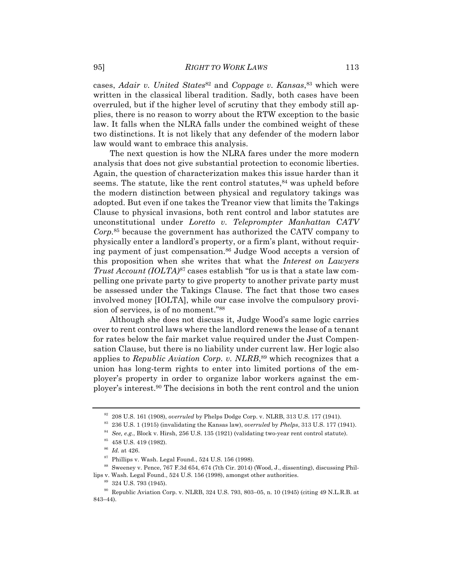cases, *Adair v. United States*<sup>82</sup> and *Coppage v. Kansas*<sup>83</sup> which were written in the classical liberal tradition. Sadly, both cases have been overruled, but if the higher level of scrutiny that they embody still applies, there is no reason to worry about the RTW exception to the basic law. It falls when the NLRA falls under the combined weight of these two distinctions. It is not likely that any defender of the modern labor law would want to embrace this analysis.

The next question is how the NLRA fares under the more modern analysis that does not give substantial protection to economic liberties. Again, the question of characterization makes this issue harder than it seems. The statute, like the rent control statutes, $84$  was upheld before the modern distinction between physical and regulatory takings was adopted. But even if one takes the Treanor view that limits the Takings Clause to physical invasions, both rent control and labor statutes are unconstitutional under *Loretto v. Teleprompter Manhattan CATV Corp.*<sup>85</sup> because the government has authorized the CATV company to physically enter a landlord's property, or a firm's plant, without requiring payment of just compensation.86 Judge Wood accepts a version of this proposition when she writes that what the *Interest on Lawyers Trust Account (IOLTA)*<sup>87</sup> cases establish "for us is that a state law compelling one private party to give property to another private party must be assessed under the Takings Clause. The fact that those two cases involved money [IOLTA], while our case involve the compulsory provision of services, is of no moment."88

Although she does not discuss it, Judge Wood's same logic carries over to rent control laws where the landlord renews the lease of a tenant for rates below the fair market value required under the Just Compensation Clause, but there is no liability under current law. Her logic also applies to *Republic Aviation Corp. v. NLRB*, <sup>89</sup> which recognizes that a union has long-term rights to enter into limited portions of the employer's property in order to organize labor workers against the employer's interest.90 The decisions in both the rent control and the union

<sup>82</sup> 208 U.S. 161 (1908), *overruled* by Phelps Dodge Corp. v. NLRB, 313 U.S. 177 (1941).

<sup>83</sup> 236 U.S. 1 (1915) (invalidating the Kansas law), *overruled* by *Phelps*, 313 U.S. 177 (1941).

<sup>84</sup> *See, e.g.*, Block v. Hirsh, 256 U.S. 135 (1921) (validating two-year rent control statute).

 $^{85}\,$  458 U.S. 419 (1982).

<sup>86</sup> *Id.* at 426.

 $87$  Phillips v. Wash. Legal Found., 524 U.S. 156 (1998).

<sup>88</sup> Sweeney v. Pence, 767 F.3d 654, 674 (7th Cir. 2014) (Wood, J., dissenting), discussing Phillips v. Wash. Legal Found., 524 U.S. 156 (1998), amongst other authorities.

<sup>89</sup> 324 U.S. 793 (1945).

<sup>90</sup> Republic Aviation Corp. v. NLRB, 324 U.S. 793, 803–05, n. 10 (1945) (citing 49 N.L.R.B. at 843–44).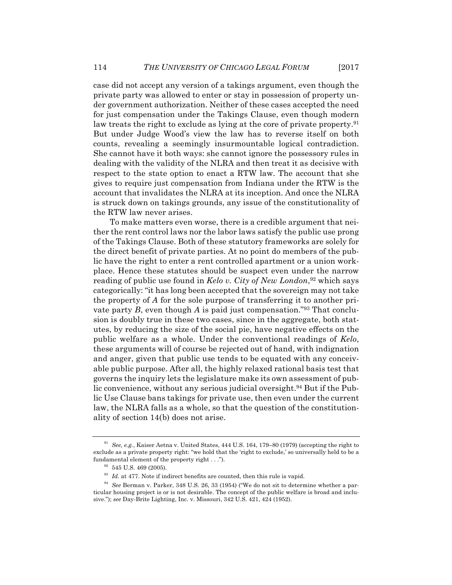case did not accept any version of a takings argument, even though the private party was allowed to enter or stay in possession of property under government authorization. Neither of these cases accepted the need for just compensation under the Takings Clause, even though modern law treats the right to exclude as lying at the core of private property.<sup>91</sup> But under Judge Wood's view the law has to reverse itself on both counts, revealing a seemingly insurmountable logical contradiction. She cannot have it both ways: she cannot ignore the possessory rules in dealing with the validity of the NLRA and then treat it as decisive with respect to the state option to enact a RTW law. The account that she gives to require just compensation from Indiana under the RTW is the account that invalidates the NLRA at its inception. And once the NLRA is struck down on takings grounds, any issue of the constitutionality of the RTW law never arises.

To make matters even worse, there is a credible argument that neither the rent control laws nor the labor laws satisfy the public use prong of the Takings Clause. Both of these statutory frameworks are solely for the direct benefit of private parties. At no point do members of the public have the right to enter a rent controlled apartment or a union workplace. Hence these statutes should be suspect even under the narrow reading of public use found in *Kelo v. City of New London*, <sup>92</sup> which says categorically: "it has long been accepted that the sovereign may not take the property of *A* for the sole purpose of transferring it to another private party *B*, even though *A* is paid just compensation."93 That conclusion is doubly true in these two cases, since in the aggregate, both statutes, by reducing the size of the social pie, have negative effects on the public welfare as a whole. Under the conventional readings of *Kelo*, these arguments will of course be rejected out of hand, with indignation and anger, given that public use tends to be equated with any conceivable public purpose. After all, the highly relaxed rational basis test that governs the inquiry lets the legislature make its own assessment of public convenience, without any serious judicial oversight.94 But if the Public Use Clause bans takings for private use, then even under the current law, the NLRA falls as a whole, so that the question of the constitutionality of section 14(b) does not arise.

<sup>91</sup> *See, e.g.*, Kaiser Aetna v. United States, 444 U.S. 164, 179–80 (1979) (accepting the right to exclude as a private property right: "we hold that the 'right to exclude,' so universally held to be a fundamental element of the property right . . .").

 $32$  545 U.S. 469 (2005).

 $^{93}$   $\emph{Id.}$  at 477. Note if indirect benefits are counted, then this rule is vapid.

<sup>94</sup> *See* Berman v. Parker, 348 U.S. 26, 33 (1954) ("We do not sit to determine whether a particular housing project is or is not desirable. The concept of the public welfare is broad and inclusive."); *see* Day-Brite Lighting, Inc. v. Missouri, 342 U.S. 421, 424 (1952).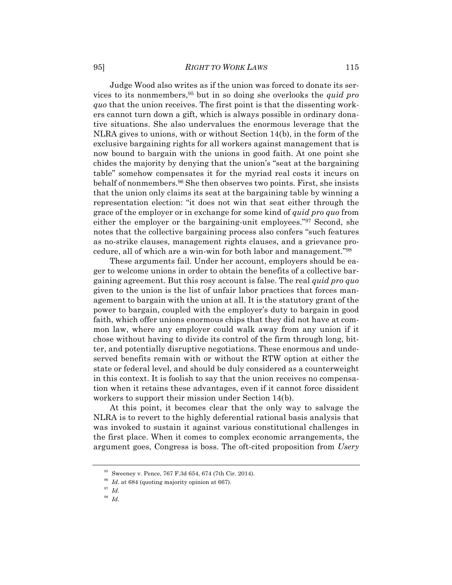Judge Wood also writes as if the union was forced to donate its services to its nonmembers,95 but in so doing she overlooks the *quid pro quo* that the union receives. The first point is that the dissenting workers cannot turn down a gift, which is always possible in ordinary donative situations. She also undervalues the enormous leverage that the NLRA gives to unions, with or without Section 14(b), in the form of the exclusive bargaining rights for all workers against management that is now bound to bargain with the unions in good faith. At one point she chides the majority by denying that the union's "seat at the bargaining table" somehow compensates it for the myriad real costs it incurs on behalf of nonmembers.96 She then observes two points. First, she insists that the union only claims its seat at the bargaining table by winning a representation election: "it does not win that seat either through the grace of the employer or in exchange for some kind of *quid pro quo* from either the employer or the bargaining-unit employees."97 Second, she notes that the collective bargaining process also confers "such features as no-strike clauses, management rights clauses, and a grievance procedure, all of which are a win-win for both labor and management."98

These arguments fail. Under her account, employers should be eager to welcome unions in order to obtain the benefits of a collective bargaining agreement. But this rosy account is false. The real *quid pro quo* given to the union is the list of unfair labor practices that forces management to bargain with the union at all. It is the statutory grant of the power to bargain, coupled with the employer's duty to bargain in good faith, which offer unions enormous chips that they did not have at common law, where any employer could walk away from any union if it chose without having to divide its control of the firm through long, bitter, and potentially disruptive negotiations. These enormous and undeserved benefits remain with or without the RTW option at either the state or federal level, and should be duly considered as a counterweight in this context. It is foolish to say that the union receives no compensation when it retains these advantages, even if it cannot force dissident workers to support their mission under Section 14(b).

At this point, it becomes clear that the only way to salvage the NLRA is to revert to the highly deferential rational basis analysis that was invoked to sustain it against various constitutional challenges in the first place. When it comes to complex economic arrangements, the argument goes, Congress is boss. The oft-cited proposition from *Usery* 

<sup>95</sup> Sweeney v. Pence, 767 F.3d 654, 674 (7th Cir. 2014).

<sup>&</sup>lt;sup>96</sup> *Id.* at 684 (quoting majority opinion at 667).

<sup>97</sup> *Id.*

<sup>98</sup> *Id.*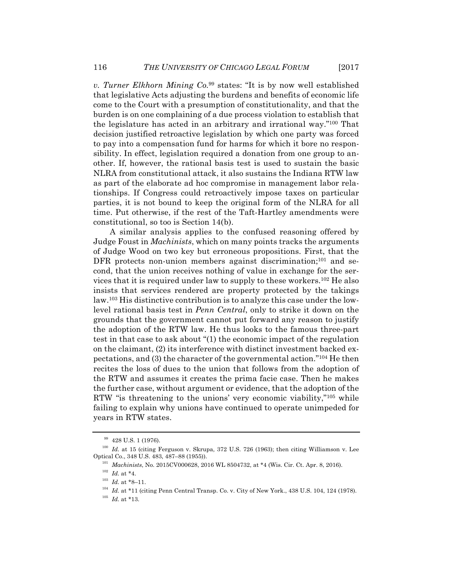*v. Turner Elkhorn Mining Co.*<sup>99</sup> states: "It is by now well established that legislative Acts adjusting the burdens and benefits of economic life come to the Court with a presumption of constitutionality, and that the burden is on one complaining of a due process violation to establish that the legislature has acted in an arbitrary and irrational way."100 That decision justified retroactive legislation by which one party was forced to pay into a compensation fund for harms for which it bore no responsibility. In effect, legislation required a donation from one group to another. If, however, the rational basis test is used to sustain the basic NLRA from constitutional attack, it also sustains the Indiana RTW law as part of the elaborate ad hoc compromise in management labor relationships. If Congress could retroactively impose taxes on particular parties, it is not bound to keep the original form of the NLRA for all time. Put otherwise, if the rest of the Taft-Hartley amendments were constitutional, so too is Section 14(b).

A similar analysis applies to the confused reasoning offered by Judge Foust in *Machinists*, which on many points tracks the arguments of Judge Wood on two key but erroneous propositions. First, that the DFR protects non-union members against discrimination; $101$  and second, that the union receives nothing of value in exchange for the services that it is required under law to supply to these workers.102 He also insists that services rendered are property protected by the takings law.103 His distinctive contribution is to analyze this case under the lowlevel rational basis test in *Penn Central*, only to strike it down on the grounds that the government cannot put forward any reason to justify the adoption of the RTW law. He thus looks to the famous three-part test in that case to ask about "(1) the economic impact of the regulation on the claimant, (2) its interference with distinct investment backed expectations, and (3) the character of the governmental action."104 He then recites the loss of dues to the union that follows from the adoption of the RTW and assumes it creates the prima facie case. Then he makes the further case, without argument or evidence, that the adoption of the RTW "is threatening to the unions' very economic viability,"105 while failing to explain why unions have continued to operate unimpeded for years in RTW states.

<sup>&</sup>lt;sup>99</sup> 428 U.S. 1 (1976).

<sup>100</sup> *Id.* at 15 (citing Ferguson v. Skrupa, 372 U.S. 726 (1963); then citing Williamson v. Lee Optical Co., 348 U.S. 483, 487–88 (1955)).

<sup>101</sup> *Machinists*, No. 2015CV000628, 2016 WL 8504732, at \*4 (Wis. Cir. Ct. Apr. 8, 2016).

 $^{102}$   $\,$   $Id.\;$  at \*4.

<sup>&</sup>lt;sup>103</sup> *Id.* at \*8–11.

<sup>&</sup>lt;sup>104</sup> *Id.* at \*11 (citing Penn Central Transp. Co. v. City of New York., 438 U.S. 104, 124 (1978).

 $^{105}$   $\,$   $\!d.\,$  at \*13.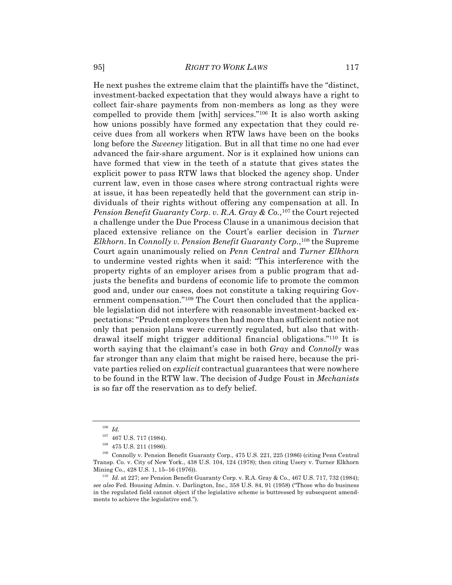He next pushes the extreme claim that the plaintiffs have the "distinct, investment-backed expectation that they would always have a right to collect fair-share payments from non-members as long as they were compelled to provide them [with] services."106 It is also worth asking how unions possibly have formed any expectation that they could receive dues from all workers when RTW laws have been on the books long before the *Sweeney* litigation. But in all that time no one had ever advanced the fair-share argument. Nor is it explained how unions can have formed that view in the teeth of a statute that gives states the explicit power to pass RTW laws that blocked the agency shop. Under current law, even in those cases where strong contractual rights were at issue, it has been repeatedly held that the government can strip individuals of their rights without offering any compensation at all. In *Pension Benefit Guaranty Corp. v. R.A. Gray & Co.*, <sup>107</sup> the Court rejected a challenge under the Due Process Clause in a unanimous decision that placed extensive reliance on the Court's earlier decision in *Turner Elkhorn*. In *Connolly v. Pension Benefit Guaranty Corp.*, <sup>108</sup> the Supreme Court again unanimously relied on *Penn Central* and *Turner Elkhorn*  to undermine vested rights when it said: "This interference with the property rights of an employer arises from a public program that adjusts the benefits and burdens of economic life to promote the common good and, under our cases, does not constitute a taking requiring Government compensation."109 The Court then concluded that the applicable legislation did not interfere with reasonable investment-backed expectations: "Prudent employers then had more than sufficient notice not only that pension plans were currently regulated, but also that withdrawal itself might trigger additional financial obligations."110 It is worth saying that the claimant's case in both *Gray* and *Connolly* was far stronger than any claim that might be raised here, because the private parties relied on *explicit* contractual guarantees that were nowhere to be found in the RTW law. The decision of Judge Foust in *Mechanists* is so far off the reservation as to defy belief.

<sup>106</sup> *Id.*

 $^{107}\,$  467 U.S. 717 (1984).

 $^{108}\,$  475 U.S. 211 (1986).

<sup>109</sup> Connolly v. Pension Benefit Guaranty Corp., 475 U.S. 221, 225 (1986) (citing Penn Central Transp. Co. v. City of New York., 438 U.S. 104, 124 (1978); then citing Usery v. Turner Elkhorn Mining Co., 428 U.S. 1, 15–16 (1976)).

<sup>110</sup> *Id.* at 227; *see* Pension Benefit Guaranty Corp. v. R.A. Gray & Co., 467 U.S. 717, 732 (1984); *see also* Fed. Housing Admin. v. Darlington, Inc., 358 U.S. 84, 91 (1958) ("Those who do business in the regulated field cannot object if the legislative scheme is buttressed by subsequent amendments to achieve the legislative end.").